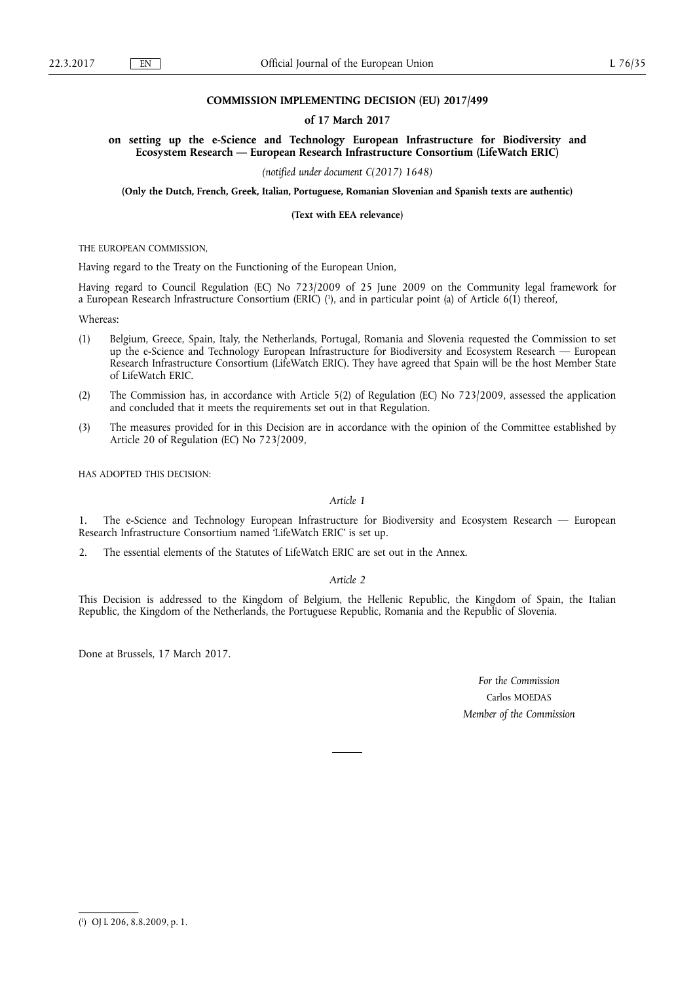# **COMMISSION IMPLEMENTING DECISION (EU) 2017/499**

## **of 17 March 2017**

**on setting up the e-Science and Technology European Infrastructure for Biodiversity and Ecosystem Research — European Research Infrastructure Consortium (LifeWatch ERIC)** 

*(notified under document C(2017) 1648)* 

**(Only the Dutch, French, Greek, Italian, Portuguese, Romanian Slovenian and Spanish texts are authentic)** 

**(Text with EEA relevance)** 

THE EUROPEAN COMMISSION,

Having regard to the Treaty on the Functioning of the European Union,

Having regard to Council Regulation (EC) No 723/2009 of 25 June 2009 on the Community legal framework for a European Research Infrastructure Consortium (ERIC) (<sup>1</sup>), and in particular point (a) of Article 6(1) thereof,

Whereas:

- (1) Belgium, Greece, Spain, Italy, the Netherlands, Portugal, Romania and Slovenia requested the Commission to set up the e-Science and Technology European Infrastructure for Biodiversity and Ecosystem Research — European Research Infrastructure Consortium (LifeWatch ERIC). They have agreed that Spain will be the host Member State of LifeWatch ERIC.
- (2) The Commission has, in accordance with Article 5(2) of Regulation (EC) No 723/2009, assessed the application and concluded that it meets the requirements set out in that Regulation.
- (3) The measures provided for in this Decision are in accordance with the opinion of the Committee established by Article 20 of Regulation (EC) No 723/2009,

HAS ADOPTED THIS DECISION:

# *Article 1*

1. The e-Science and Technology European Infrastructure for Biodiversity and Ecosystem Research — European Research Infrastructure Consortium named 'LifeWatch ERIC' is set up.

2. The essential elements of the Statutes of LifeWatch ERIC are set out in the Annex.

# *Article 2*

This Decision is addressed to the Kingdom of Belgium, the Hellenic Republic, the Kingdom of Spain, the Italian Republic, the Kingdom of the Netherlands, the Portuguese Republic, Romania and the Republic of Slovenia.

Done at Brussels, 17 March 2017.

*For the Commission*  Carlos MOEDAS *Member of the Commission* 

<sup>(</sup> 1 ) OJ L 206, 8.8.2009, p. 1.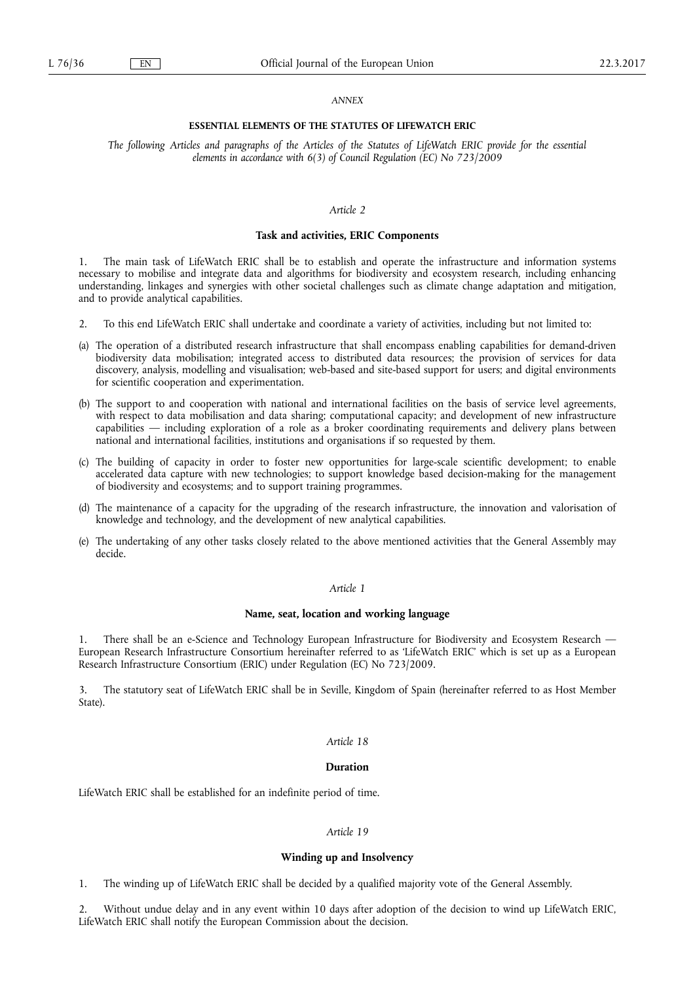#### *ANNEX*

## **ESSENTIAL ELEMENTS OF THE STATUTES OF LIFEWATCH ERIC**

*The following Articles and paragraphs of the Articles of the Statutes of LifeWatch ERIC provide for the essential elements in accordance with 6(3) of Council Regulation (EC) No 723/2009* 

# *Article 2*

## **Task and activities, ERIC Components**

The main task of LifeWatch ERIC shall be to establish and operate the infrastructure and information systems necessary to mobilise and integrate data and algorithms for biodiversity and ecosystem research, including enhancing understanding, linkages and synergies with other societal challenges such as climate change adaptation and mitigation, and to provide analytical capabilities.

- 2. To this end LifeWatch ERIC shall undertake and coordinate a variety of activities, including but not limited to:
- (a) The operation of a distributed research infrastructure that shall encompass enabling capabilities for demand-driven biodiversity data mobilisation; integrated access to distributed data resources; the provision of services for data discovery, analysis, modelling and visualisation; web-based and site-based support for users; and digital environments for scientific cooperation and experimentation.
- (b) The support to and cooperation with national and international facilities on the basis of service level agreements, with respect to data mobilisation and data sharing; computational capacity; and development of new infrastructure capabilities — including exploration of a role as a broker coordinating requirements and delivery plans between national and international facilities, institutions and organisations if so requested by them.
- (c) The building of capacity in order to foster new opportunities for large-scale scientific development; to enable accelerated data capture with new technologies; to support knowledge based decision-making for the management of biodiversity and ecosystems; and to support training programmes.
- (d) The maintenance of a capacity for the upgrading of the research infrastructure, the innovation and valorisation of knowledge and technology, and the development of new analytical capabilities.
- (e) The undertaking of any other tasks closely related to the above mentioned activities that the General Assembly may decide.

### *Article 1*

### **Name, seat, location and working language**

1. There shall be an e-Science and Technology European Infrastructure for Biodiversity and Ecosystem Research — European Research Infrastructure Consortium hereinafter referred to as 'LifeWatch ERIC' which is set up as a European Research Infrastructure Consortium (ERIC) under Regulation (EC) No 723/2009.

3. The statutory seat of LifeWatch ERIC shall be in Seville, Kingdom of Spain (hereinafter referred to as Host Member State).

# *Article 18*

### **Duration**

LifeWatch ERIC shall be established for an indefinite period of time.

### *Article 19*

#### **Winding up and Insolvency**

1. The winding up of LifeWatch ERIC shall be decided by a qualified majority vote of the General Assembly.

2. Without undue delay and in any event within 10 days after adoption of the decision to wind up LifeWatch ERIC, LifeWatch ERIC shall notify the European Commission about the decision.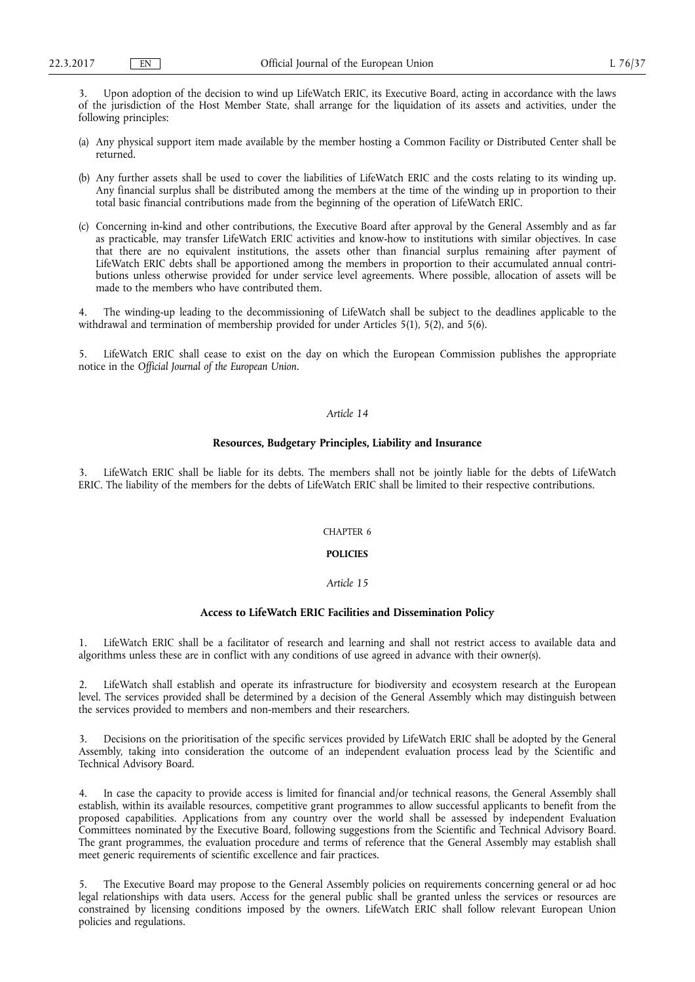3. Upon adoption of the decision to wind up LifeWatch ERIC, its Executive Board, acting in accordance with the laws of the jurisdiction of the Host Member State, shall arrange for the liquidation of its assets and activities, under the following principles:

- (a) Any physical support item made available by the member hosting a Common Facility or Distributed Center shall be returned.
- (b) Any further assets shall be used to cover the liabilities of LifeWatch ERIC and the costs relating to its winding up. Any financial surplus shall be distributed among the members at the time of the winding up in proportion to their total basic financial contributions made from the beginning of the operation of LifeWatch ERIC.
- (c) Concerning in-kind and other contributions, the Executive Board after approval by the General Assembly and as far as practicable, may transfer LifeWatch ERIC activities and know-how to institutions with similar objectives. In case that there are no equivalent institutions, the assets other than financial surplus remaining after payment of LifeWatch ERIC debts shall be apportioned among the members in proportion to their accumulated annual contributions unless otherwise provided for under service level agreements. Where possible, allocation of assets will be made to the members who have contributed them.

The winding-up leading to the decommissioning of LifeWatch shall be subject to the deadlines applicable to the withdrawal and termination of membership provided for under Articles 5(1), 5(2), and 5(6).

5. LifeWatch ERIC shall cease to exist on the day on which the European Commission publishes the appropriate notice in the *Official Journal of the European Union.* 

# *Article 14*

# **Resources, Budgetary Principles, Liability and Insurance**

LifeWatch ERIC shall be liable for its debts. The members shall not be jointly liable for the debts of LifeWatch ERIC. The liability of the members for the debts of LifeWatch ERIC shall be limited to their respective contributions.

## CHAPTER 6

# **POLICIES**

# *Article 15*

## **Access to LifeWatch ERIC Facilities and Dissemination Policy**

1. LifeWatch ERIC shall be a facilitator of research and learning and shall not restrict access to available data and algorithms unless these are in conflict with any conditions of use agreed in advance with their owner(s).

2. LifeWatch shall establish and operate its infrastructure for biodiversity and ecosystem research at the European level. The services provided shall be determined by a decision of the General Assembly which may distinguish between the services provided to members and non-members and their researchers.

3. Decisions on the prioritisation of the specific services provided by LifeWatch ERIC shall be adopted by the General Assembly, taking into consideration the outcome of an independent evaluation process lead by the Scientific and Technical Advisory Board.

4. In case the capacity to provide access is limited for financial and/or technical reasons, the General Assembly shall establish, within its available resources, competitive grant programmes to allow successful applicants to benefit from the proposed capabilities. Applications from any country over the world shall be assessed by independent Evaluation Committees nominated by the Executive Board, following suggestions from the Scientific and Technical Advisory Board. The grant programmes, the evaluation procedure and terms of reference that the General Assembly may establish shall meet generic requirements of scientific excellence and fair practices.

5. The Executive Board may propose to the General Assembly policies on requirements concerning general or ad hoc legal relationships with data users. Access for the general public shall be granted unless the services or resources are constrained by licensing conditions imposed by the owners. LifeWatch ERIC shall follow relevant European Union policies and regulations.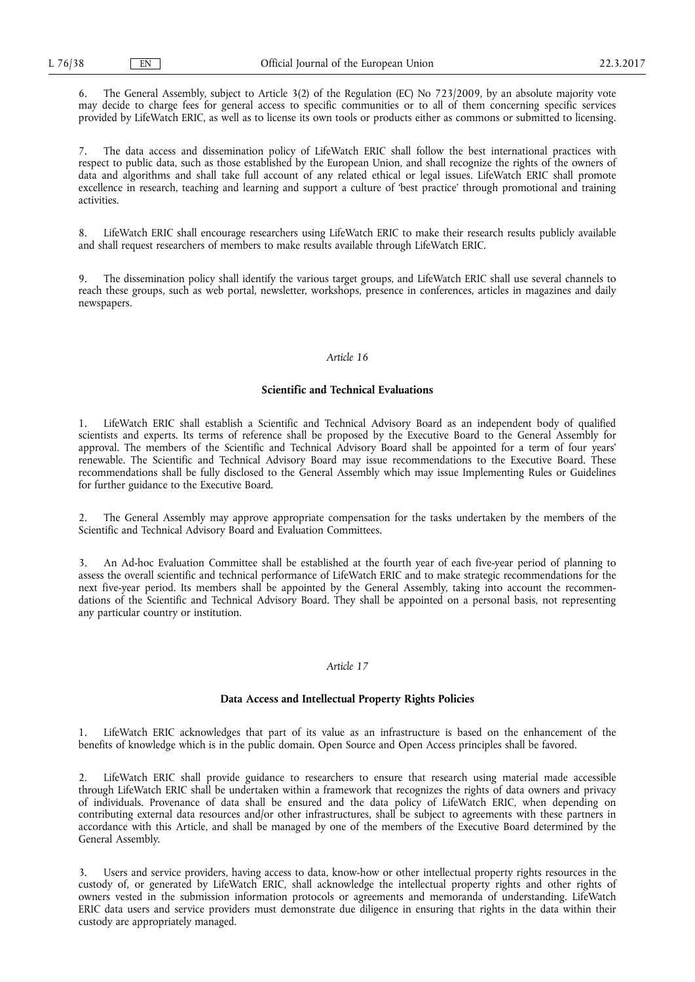6. The General Assembly, subject to Article 3(2) of the Regulation (EC) No 723/2009, by an absolute majority vote may decide to charge fees for general access to specific communities or to all of them concerning specific services provided by LifeWatch ERIC, as well as to license its own tools or products either as commons or submitted to licensing.

7. The data access and dissemination policy of LifeWatch ERIC shall follow the best international practices with respect to public data, such as those established by the European Union, and shall recognize the rights of the owners of data and algorithms and shall take full account of any related ethical or legal issues. LifeWatch ERIC shall promote excellence in research, teaching and learning and support a culture of 'best practice' through promotional and training activities.

8. LifeWatch ERIC shall encourage researchers using LifeWatch ERIC to make their research results publicly available and shall request researchers of members to make results available through LifeWatch ERIC.

9. The dissemination policy shall identify the various target groups, and LifeWatch ERIC shall use several channels to reach these groups, such as web portal, newsletter, workshops, presence in conferences, articles in magazines and daily newspapers.

## *Article 16*

# **Scientific and Technical Evaluations**

1. LifeWatch ERIC shall establish a Scientific and Technical Advisory Board as an independent body of qualified scientists and experts. Its terms of reference shall be proposed by the Executive Board to the General Assembly for approval. The members of the Scientific and Technical Advisory Board shall be appointed for a term of four years' renewable. The Scientific and Technical Advisory Board may issue recommendations to the Executive Board. These recommendations shall be fully disclosed to the General Assembly which may issue Implementing Rules or Guidelines for further guidance to the Executive Board.

2. The General Assembly may approve appropriate compensation for the tasks undertaken by the members of the Scientific and Technical Advisory Board and Evaluation Committees.

3. An Ad-hoc Evaluation Committee shall be established at the fourth year of each five-year period of planning to assess the overall scientific and technical performance of LifeWatch ERIC and to make strategic recommendations for the next five-year period. Its members shall be appointed by the General Assembly, taking into account the recommendations of the Scientific and Technical Advisory Board. They shall be appointed on a personal basis, not representing any particular country or institution.

## *Article 17*

# **Data Access and Intellectual Property Rights Policies**

1. LifeWatch ERIC acknowledges that part of its value as an infrastructure is based on the enhancement of the benefits of knowledge which is in the public domain. Open Source and Open Access principles shall be favored.

2. LifeWatch ERIC shall provide guidance to researchers to ensure that research using material made accessible through LifeWatch ERIC shall be undertaken within a framework that recognizes the rights of data owners and privacy of individuals. Provenance of data shall be ensured and the data policy of LifeWatch ERIC, when depending on contributing external data resources and/or other infrastructures, shall be subject to agreements with these partners in accordance with this Article, and shall be managed by one of the members of the Executive Board determined by the General Assembly.

3. Users and service providers, having access to data, know-how or other intellectual property rights resources in the custody of, or generated by LifeWatch ERIC, shall acknowledge the intellectual property rights and other rights of owners vested in the submission information protocols or agreements and memoranda of understanding. LifeWatch ERIC data users and service providers must demonstrate due diligence in ensuring that rights in the data within their custody are appropriately managed.